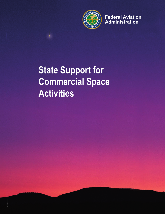

**Administration Federal Aviation**

# **State Support for Commercial Space Activities**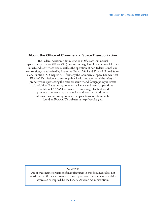# **About the Office of Commercial Space Transportation**

The Federal Aviation Administration's Office of Commercial Space Transportation (FAA/AST) licenses and regulates U.S. commercial space launch and reentry activity, as well as the operation of non-federal launch and reentry sites, as authorized by Executive Order 12465 and Title 49 United States Code, Subtitle IX, Chapter 701 (formerly the Commercial Space Launch Act). FAA/AST's mission is to ensure public health and safety and the safety of property while protecting the national security and foreign policy interests of the United States during commercial launch and reentry operations. In addition, FAA/AST is directed to encourage, facilitate, and promote commercial space launches and reentries. Additional information concerning commercial space transportation can be found on FAA/AST's web site at http://ast.faa.gov.

# **NOTICE**

Use of trade names or names of manufacturers in this document does not constitute an official endorsement of such products or manufacturers, either expressed or implied, by the Federal Aviation Administration.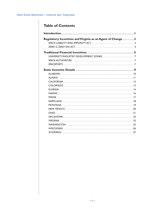# **Table of Contents**

| Regulatory Incentives and Virginia as an Agent of Change 3 |
|------------------------------------------------------------|
|                                                            |
|                                                            |
|                                                            |
|                                                            |
|                                                            |
|                                                            |
|                                                            |
|                                                            |
|                                                            |
|                                                            |
|                                                            |
|                                                            |
|                                                            |
|                                                            |
|                                                            |
|                                                            |
|                                                            |
|                                                            |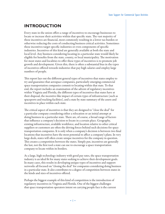# **Introduction**

Every state in the union offers a range of incentives to encourage businesses to locate or increase their activities within that specific state. The vast majority of these incentives are financial, most commonly resulting in a lower tax burden or otherwise reducing the costs of conducting business critical activities. Sometimes these incentives target specific industries or even components of specific industries. Incentives of this kind are generally available at both the state and local level. Any business considering locating in a particular state would likely be eligible for benefits from the state, county, or local municipality. The motivation for most states and localities to offer these types of incentives is to promote job growth and development. Given this, there is often a substantial bias in the types of incentives offered towards industries that pay high salaries and employ large numbers of people.

This report lays out the different general types of incentives that states employ to try and guarantee that aerospace companies, particularly emerging commercial space transportation companies commit to locating within that state. To that end, the report includes an examination of the advent of regulatory incentives within Virginia and Florida, the different types of incentives that states have at their disposal, the incentive-like impact of certain types of infrastructure (such as spaceports and tracking facilities), and a state by state summary of the assets and incentives in place within each state.

The critical aspect of incentives is that they are designed to "close the deal" for a particular company considering either a relocation or an initial attempt at doing business in a particular state. There are, of course, a broad range of factors that influence a company's decision to locate in a certain place. Geography, existing infrastructure, available workforce, and location relative to other critical suppliers or customers are often the driving forces behind such decisions for space transportation companies. It is only when a company's decision is between two final locations that incentives have the most potential to affect a company's plans. In very large deals, states will often create unique incentives for the company in question. This creates a competition between the states. Simply put, incentives are generally the last, not the first tool a state can use to encourage a space transportation company to locate within its borders.

As a large, high technology industry with good pay rates, the space transportation industry is an ideal fit for many states seeking to achieve their development goals. In many cases, this results in developing unique types of incentives and support networks all focused on "closing the deal" for companies considering doing business in a particular state. It also contributes to a degree of competition between states in the kinds and sizes of incentives offered.

Perhaps the biggest example of this kind of competition is the introduction of regulatory incentives in Virginia and Florida. One of the biggest challenges that space transportation operators intent on carrying people face is the current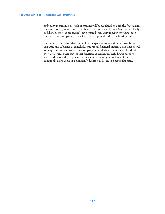ambiguity regarding how such operations will be regulated on both the federal and the state level. By removing this ambiguity, Virginia and Florida (with others likely to follow as the year progresses), have created regulatory incentives to lure space transportation companies. These incentives appear already to be bearing fruit.

The range of incentives that states offer the space transportation industry is both disparate and substantial. It includes traditional financial incentive packages as well as unique incentives extended to companies considering specific deals. In addition, there are several other factors that function as incentives, including spaceports, space authorities, development zones, and unique geography. Each of these factors commonly plays a role in a company's decision to locate in a particular state.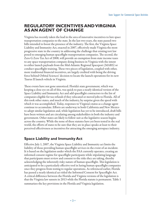# **Regulatory Incentives and Virginia as an Agent of Change**

Virginia has recently taken the lead in the area of innovative incentives to lure space transportation companies to the state. In the last two years, the state passed two bills intended to boost the presence of the industry. The first, the Virginia Space Liability and Immunity Act, enacted in 2007, effectively made Virginia the most progressive state in the country in addressing the challenge that existing tort law posed to emerging human spaceflight transportation companies. The second, the Zero G Zero Tax Act of 2008, will provide an exemption from state income taxes to any space transportation company doing business in Virginia with the intent to either launch payloads from the Mid-Atlantic Regional Spaceport (MARS) or conduct spaceflight training. These two pieces of legislation, coupled with other, more traditional financial incentives, are largely credited with being the driving force behind Orbital Sciences' decision to locate the launch operations for its new Taurus II launch vehicle in Virginia.

These events have not gone unnoticed. Florida's state government, which was keeping a close eye on all of this, was quick to pass a nearly identical version of the Space Liability and Immunity Act and add spaceflight contractors to the list of companies eligible for tax refunds if they relocated or moved jobs to Florida. All of this took other states, and much of the industry, by surprise given the speed with which it was accomplished. Today, responses to Virginia's status as a change agent continue to accumulate. Efforts are underway in both California and New Mexico to adopt similar legislation and, while legislation has yet to be introduced, draft bills have been written and are circulating among stakeholders in both the industry and government. Other states are likely to follow suit as the legislative season begins across the country. While the none of these statutes have yet been tested in the real world, the efforts of states to be sure that they are in place speaks at least to their perceived effectiveness as incentives for attracting the emerging aerospace industry.

# **Space Liability and Immunity Act**

Effective July 1, 2007, the Virginia Space Liability and Immunity act limits the liability of those providing human spaceflight services in the event of an incident. It is based on the legislation under which the FAA currently operates, creating an informed consent regime for spaceflight participants while stipulating language that participants must review and consent to the risks they are taking, thereby acknowledging the inherently risky nature of human spaceflight. This legislation is anticipated to be a particularly effective tool in luring human spaceflight companies once they progress from testing to regular operations. As referenced earlier, Florida has passed a nearly identical act titled the Informed Consent for Spaceflight Act. A critical difference between the Florida and Virginia versions of the legislation is that the Virginia law sunsets in 2013 while the Florida statute is permanent. Table 1 summarizes the key provisions in the Florida and Virginia legislation.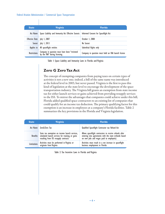#### Federal Aviation Administration / Commercial Space Transportation

| <b>State</b>                | <b>Virginia</b>                                                                                    | <b>Florida</b>                                      |
|-----------------------------|----------------------------------------------------------------------------------------------------|-----------------------------------------------------|
|                             | Act Name Space Liability and Immunity Act Effective Sunsets   Informed Consent for Spaceflight Act |                                                     |
| Effective Date July 1, 2007 |                                                                                                    | October 1, 2008                                     |
|                             | Sunset July 1, 2013                                                                                | No Sunset                                           |
|                             | Applies to All spaceflight entities                                                                | Suborbital flights only                             |
|                             | Restrictions Company in question must have been "reviewed<br>by the FAA" during licensing          | Company in question must hold an FAA launch license |

Table 1: Space Liability and Immunity Laws in Florida and Virginia

# **Zero G Zero Tax Act**

The concept of exempting companies from paying taxes on certain types of activities is not a new one; indeed, a bill of the same name was introduced at the federal level in 2003, but never passed. Virginia is the first to pass this kind of legislation at the state level to encourage the development of the space transportation industry. The Virginia bill grants an exemption from state income tax for either launch services or gains achieved from providing resupply services to the ISS. To mirror the advantages that companies could achieve under this bill, Florida added qualified space contractors to an existing list of companies that could qualify for an income tax deduction. The primary qualifying factor for this exemption is an increase in employees at a company's Florida facilities. Table 2 summarizes the key provisions in the Florida and Virginia legislation.

| <b>State</b>       | <b>Virginia</b>                                                                                                                                      | <b>Florida</b>                                                                                                                                                |  |  |
|--------------------|------------------------------------------------------------------------------------------------------------------------------------------------------|---------------------------------------------------------------------------------------------------------------------------------------------------------------|--|--|
|                    | Act Name ZeroG/Zero Tax                                                                                                                              | Qualified Spaceflight Contractor tax Refund Act                                                                                                               |  |  |
|                    | State tax exemption on income launch services,<br>Benefits simulated launch services for training, or gains<br>resulting from ISS resupply contracts | Allows spaceflight contractors to receive refunds after<br>entering into agreements with the state (refunds based<br>on new jobs and wages paid to employees) |  |  |
| <b>Limitations</b> | Activities must be performed in Virginia or<br>originate from Virginia                                                                               | Activities must result in a net increase in spaceflight<br>business employment in Florida                                                                     |  |  |

|  |  |  | Table 2: Tax Incentive Laws in Florida and Virginia |  |  |  |  |  |
|--|--|--|-----------------------------------------------------|--|--|--|--|--|
|--|--|--|-----------------------------------------------------|--|--|--|--|--|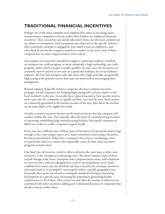# **Traditional Financial Incentives**

Perhaps one of the most common tools employed by states to encourage space transportation companies to locate within their borders are traditional financial incentives. These incentives can and do take many forms, but the most common are tax rebates or exemptions. Such exemptions are often tied to the specific industry that a particular company is engaged in, how much it pays its employees, and what kind of activity the company intends to conduct in the state. Each of these categories has an entire range incentives tied to them.

An example of an incentive intended to support a particular industry would be an aerospace tax credit program, or more commonly a high-technology tax credit program, under which aerospace usually qualifies. In some cases the incentives are extremely narrow and focus not only on a particular industry, but on an industry segment. The fact that aerospace jobs, like most other high-tech jobs, are generally high paying is the primary reason that states are interested in encouraging their propagation.

Beyond support of specific industry categories, the most common incentive packages reward companies for bringing high-paying jobs (at least relative to the local standard) to the area. Generally these types of incentives have specific metrics tied to pay rates for companies to qualify and they vary state by state. Such metrics are commonly grounded in the median income of the area. Jobs above the median are far more likely to be eligible for credit.

Another common incentive focuses on the kind of activity that the company will conduct within the state. This typically takes the form of a manufacturing incentive to encourage establishing large manufacturing facilities, but equally common are R&D tax credits to enable companies to grow locally.

Every state has a different mix of these types of incentives. If a particular deal is large enough or has some unique aspect to it, states sometimes create unique incentives for that particular deal. Otherwise, a company's first step in considering a move to a particular state is to contact the responsible entity for that state's incentive programs to learn more.

One final type of incentive, which is often realized at the same time as other state incentives, is the exemption or advantage zone. The most common types of these include foreign trade zones, enterprise zones, empowerment zones, redevelopment or renewal zones, and areas designated as rural or low population zones. States establish these zones, any one of which can have a laundry list of unique incentives associated with it, to accomplish various goals within a specific geographic area. Generally, these goals are related to raising the standard of living or increasing development in a specific area, increasing the population, generating further employment, or all of these. These zones can and often do overlap or otherwise are combined with other incentives adding up to substantial bonuses to companies that decide to locate within them.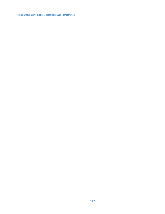Federal Aviation Administration / Commercial Space Transportation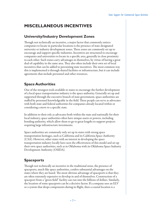# **Miscellaneous Incentives**

# **University/Industry Development Zones**

Though not technically an incentive, a major factor that commonly entices companies to locate in particular locations is the presence of state-designated university or industry development zones. These zones are commonly set up to encourage and support specific industries. Incentives are structured to encourage companies and universities to locate in a specific area, generally in close proximity to each other. Such zones carry advantages in themselves, by virtue of having a great deal of capability in the same area. They also often include their own set of local incentives that can be added to preexisting state incentives. The most common way this is implemented is through shared facilities or infrastructure, but it can include agreements that include personnel and other resources.

# **Space Authorities**

One of the strongest tools available to states to encourage the further development of a local space transportation industry is the space authority. Generally set up and supported through the executive branch of state government, space authorities are staffed by personnel knowledgeable in the field. These people can serve as advocates with both state and federal authorities for companies already located within or considering a move to a specific state.

In addition to their role as advocates both within the state and nationally for their local industry, space authorities often have unique assets or powers, including bonding authority, which allow them to go to great lengths to support projects requiring large infrastructure investments.

Space authorities are commonly only set up in states with strong space transportation heritages, such as California and its California Space Authority (CSA). However, other states with an interest in developing the space transportation industry locally have seen the effectiveness of this model and set up their own space authorities, such as in Oklahoma with its Oklahoma Space Industry Development Authority (OSIDA).

# **Spaceports**

Though not technically an incentive in the traditional sense, the presence of spaceports, much like space authorities, confers substantial advantages on the states where they are based. The most obvious advantage of spaceports is that they are often extremely expensive to develop in and of themselves. Construction of a spaceport from a "green field" facility can run into the billions of dollars. Similarly, the location of some spaceports can be a decisive factor. If a company uses an ELV or a system that drops components during its flight, then a coastal location is a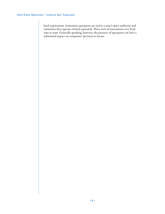hard requirement. Sometimes spaceports are tied to a state's space authority and sometimes they operate entirely separately. These sorts of associations vary from state to state. Generally speaking, however, the presence of spaceports can have a substantial impact on companies' decisions to locate.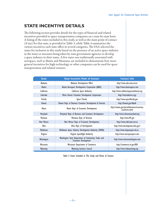# **State Incentive Details**

The following section provides details for the types of financial and related incentives provided to space transportation companies on a state-by-state basis. A listing of the states included in this study, as well as the main point of contact (if any) for that state, is provided in Table 3, while Table 4 summarizes the various incentives each state offers in several categories. The FAA selected the states for inclusion in this study based on the presence of an active space industry in the states or measures being taken by state government agencies to develop a space industry in their states. A few states not traditionally associated with aerospace, such as Maine and Montana, are included to demonstrate how more general incentives for high-technology or other companies can be used for space transportation and related ventures.

| <b>State</b>      | <b>State Incentive Point of Contact</b>                                             | <b>Contact Info</b>                                           |
|-------------------|-------------------------------------------------------------------------------------|---------------------------------------------------------------|
| Alabama           | Alabama Development Office                                                          | http://www.ado.state.al.us/                                   |
| Alaska            | Alaska Aerospace Development Corporation (AADC)                                     | http://www.akaerospace.com                                    |
| California        | California Space Authority                                                          | http://www.californiaspaceauthority.org                       |
| Colorado          | Metro Denver Economic Development Corporation                                       | http://metrodenver.org/                                       |
| <b>Florida</b>    | Space Florida                                                                       | http://www.spaceflorida.gov                                   |
| Hawaii            | Hawaii Dept. of Business Economic Development & Tourism                             | http://hawaii.gov/dbedt                                       |
| Maine             | Maine Dept. of Economic Development                                                 | http://maine.gov/portal/business/econ-bus-<br>incentives.html |
| Maryland          | Maryland Dept. of Business and Economic Development                                 | http://www.choosemaryland.org                                 |
| Montana           | Montana Dept. of Revenue                                                            | http://www.MT.gov                                             |
| <b>New Mexico</b> | New Mexico Dept. of Economic Development                                            | http://www.edd.state.nm.us                                    |
| Ohio              | Ohio Dept. of Development                                                           | http://www.development.ohio.gov/                              |
| <b>Oklahoma</b>   | Oklahoma Space Industry Development Authority (OSIDA)                               | http://www.okspaceport.ok.us                                  |
| Virginia          | Virginia Spaceflight Authority                                                      | http://www.marsspaceport.com                                  |
| Washington        | Washington State Department of Community, Trade, and<br><b>Economic Development</b> | http://www.choosewashington.com                               |
| Wisconsin         | Wisconsin Department of Commerce                                                    | http://commerce.wi.gov/BD/                                    |
| Wyoming           | Wyoming business Council                                                            | http://www.whywyoming.org                                     |

Table 3: States Included in This Study and Points of Contact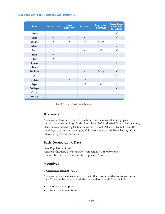#### Federal Aviation Administration / Commercial Space Transportation

| <b>State</b>      | <b>Costal State</b> | <b>Space</b><br><b>Authority</b> | Spaceport    | Legislative<br>Incentives | <b>Space Trans.</b><br><i>Applicable</i><br>Incentives |
|-------------------|---------------------|----------------------------------|--------------|---------------------------|--------------------------------------------------------|
| Alabama           |                     |                                  |              |                           | ✓                                                      |
| Alaska            | $\checkmark$        | $\checkmark$                     | $\checkmark$ |                           | $\checkmark$                                           |
| California        | $\checkmark$        | ✓                                | ✓            | Pending                   | ✓                                                      |
| Colorado          |                     |                                  |              |                           | $\checkmark$                                           |
| Florida           | $\checkmark$        | $\checkmark$                     | $\checkmark$ | $\checkmark$              | ✓                                                      |
| Hawaii            | $\checkmark$        |                                  |              |                           |                                                        |
| Maine             | $\checkmark$        |                                  |              |                           |                                                        |
| Maryland          | $\checkmark$        |                                  |              |                           | $\checkmark$                                           |
| Montana           |                     |                                  |              |                           |                                                        |
| <b>New Mexico</b> |                     | $\checkmark$                     | $\checkmark$ | Pending                   | $\checkmark$                                           |
| Ohio              |                     |                                  |              |                           | $\checkmark$                                           |
| <b>Oklahoma</b>   |                     | $\checkmark$                     | $\checkmark$ |                           |                                                        |
| Virginia          | $\checkmark$        | $\checkmark$                     | ✓            | $\checkmark$              | ✓                                                      |
| Washington        | $\checkmark$        |                                  |              |                           | $\checkmark$                                           |
| Wisconsin         |                     |                                  |              |                           |                                                        |
| Wyoming           |                     |                                  |              |                           |                                                        |

Table 4: Summary of State Space Incentives

# **Alabama**

Alabama has long been one of the nation's leaders in manufacturing space transportation technology. With Huntsville's NASA Marshall Space Flight Center, Decatur's manufacturing facility for United Launch Alliance's Delta IV, and the state's legacy of human spaceflight, it's little surprise that Alabama has significant interest in space transportation.

# **Basic Demographic Data**

State Population: 4.6M Aerospace Industry Presence: 300+ companies, ~139,000 workers Responsible Entities: Alabama Development Office

# **Incentives**

# *Standard Incentives*

Alabama has a wide range of incentives it offers businesses that locate within the state. These can be found at both the state and local levels. They include:

- Income tax exemptions
- Property tax exemptions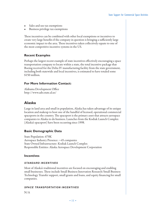- Sales and use tax exemptions
- Business privilege tax exemptions

These incentives can be combined with other local exemptions or incentives to create very large benefits if the company in question is bringing a sufficiently large economic impact to the area. These incentives taken collectively equate to one of the most competitive incentive systems in the US.

# **Recent Examples**

Perhaps the largest recent example of state incentives effectively encouraging a space transportation company to locate within a state, the total incentive package that Boeing received for the Delta IV manufacturing facility from the state government, including both statewide and local incentives, is estimated to have totaled some \$150 million.

# **For More Information Contact:**

Alabama Development Office http://www.ado.state.al.us/

# **Alaska**

Large in land area and small in population, Alaska has taken advantage of its unique location and makeup to host one of the handful of licensed, operational commercial spaceports in the country. The spaceport is the primary asset that attracts aerospace companies to Alaska to do business. Launches from the Kodiak Launch Complex (Alaska's spaceport) have been occurring since 1998.

# **Basic Demographic Data**

State Population: 670K Aerospace Industry Presence: ~45 companies State Owned Infrastructure: Kodiak Launch Complex Responsible Entities: Alaska Aerospace Development Corporation

#### **Incentives**

#### *Standard Incentives*

Most of Alaska's traditional incentives are focused on encouraging and enabling small businesses. These include Small Business Innovation Research/Small Business Technology Transfer support, small grants and loans, and equity financing for small companies.

#### *Space Transportation Incentives*

N/A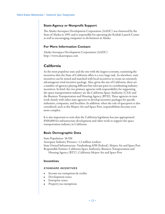# **State Agency or Nonprofit Support**

The Alaska Aerospace Development Corporation (AADC) was chartered by the State of Alaska in 1991 and is responsible for operating the Kodiak Launch Center as well as encouraging companies to do business in Alaska.

# **For More Information Contact:**

Alaska Aerospace Development Corporation (AADC) http://www.akaerospace.com

# **California**

As the most populous state and the one with the largest economy, examining the incentives that the State of California offers is a very large task. As elsewhere, state incentives can be mixed and matched with local incentives to create an extremely advantageous total incentive package. Also, given the size of California, there are a number of agencies playing different but relevant parts in coordinating industry incentives. In brief, the two primary agencies with responsibility for supporting the space transportation industry are the California Space Authority (CSA) and the Business Transportation and Housing Agency (BTH), These agencies in turn work closely with other state agencies to develop incentive packages for specific industries, companies, and localities. In addition, when the role of spaceports is also considered, such as the Mojave Air and Space Port, responsibilities become even more complex.

It is also important to note that the California legislature has just appropriated \$500,000 for infrastructure development and other work to support the space transportation industry in California.

# **Basic Demographic Data**

State Population: 36.5M

Aerospace Industry Presence: 1.2 million workers

State Owned Infrastructure: Vandenberg AFB (Federal), Mojave Air and Space Port Responsible Entities: California Space Authority, Business Transportation and Housing Agency (BTU), California Mojave Air and Space Port

# **Incentives**

# *Standard Incentives*

- Income tax exemptions & credits
- Development zones
- Enterprise zones
- Property tax exemptions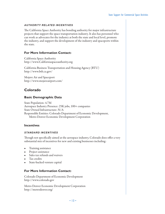# *Authority Related Incentives*

The California Space Authority has bonding authority for major infrastructure projects that support the space transportation industry. It also has personnel who can work as advocates for the industry at both the state and local level, promote the industry, and support the development of the industry and spaceports within the state.

# **For More Information Contact:**

California Space Authority http://www.Californiaspaceauthority.org

California Business Transportation and Housing Agency (BTU) http://www.bth.ca.gov/

Mojave Air and Spaceport http://www.mojaveairport.com/

# **Colorado**

# **Basic Demographic Data**

State Population: 4.7M Aerospace Industry Presence: 25K jobs, 100+ companies State Owned Infrastructure: N/A Responsible Entities: Colorado Department of Economic Development, Metro Denver Economic Development Corporation

# **Incentives**

# *Standard Incentives*

Though not specifically aimed at the aerospace industry, Colorado does offer a very substantial mix of incentives for new and existing businesses including:

- • Training assistance
- Project assistance
- Sales tax refunds and waivers
- Tax credits
- State-backed venture capital

# **For More Information Contact:**

Colorado Department of Economic Development http://www.colorado.gov

Metro Denver Economic Development Corporation http://metrodenver.org/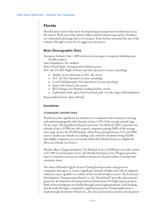# **Florida**

Florida enjoys some of the most developed space transportation infrastructure in the nation. With one of the nation's oldest and best known spaceports, Florida is at a substantial advantage due to its location. It has further increased the size of the industry through a series of very aggressive incentives.

# **Basic Demographic Data**

Aerospace Industry Size: 1,800 aviation and aerospace companies totaling some 83,000 workers

State Population: 18.3 million

State Owned Space Transportation Infrastructure:

SLC-46, CCAFS, Right of Entry and Site Operator's License (pending)

- Mobile Access Structure at SLC-46, owner
- SLC-36, Site Operator's License (pending)
- Cecil Field Spaceport, Site Operator's License (pending)
- Space Life Science Lab, owner
- • RLV Hangar near Shuttle Landing Facility, owner
- Exploration Park, space-based research park, in early stages of development

Responsible Entities: Space Florida

#### **Incentives**

#### *Standard Incentives*

Florida provides significant tax incentives to companies that commit to creating and maintaining quality jobs that pay at least 115% of the average annual wage for the state. The Qualified Defense Contractor Tax Refund (QDC) provides tax refunds of up to \$5,000 per job created; companies paying 200% of the average state wage receive the \$5,000 benefit; while those paying between 115 and 200% receive smaller tax refunds on a sliding scale, with the minimum being \$3,000. Spaceflight companies are now clearly defined by Florida Statute as eligible for these tax refunds (see below).

Florida offers a Targeted Industry Tax Refund of up to \$5,000 per new job created, or \$7,500 in an Enterprise Zone. The Florida Enterprise Zone Program provides sales or corporate income tax credits to businesses located within or hiring from enterprise zones.

The State of Florida's Quick Action Closing Fund provides cash grants to companies that agree to create a significant amount of high-value jobs in targeted industries; space qualifies as a subset of the overall aerospace sector. The Economic Development Transportation Fund (i.e., the "Road Fund") provides discretionary grants for development of transportation infrastructure for high-impact projects. Both of these programs are funded through annual appropriations, with funding awards made through a competitive application process. Formal application is made through Enterprise Florida Inc., the state's privatized economic development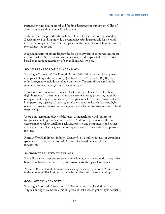partnership, with final approval and funding disbursement through the Office of Trade, Tourism and Economic Development.

Training funds are provided through Workforce Florida; additionally, Workforce Development Boards in individual counties have funding available for new and expanding companies. Assistance is typically in the range of several hundred dollars for each new job created.

A capital investment tax credit provides for up to 20 years of corporate income tax credits equal to 5% of capital costs for new or expanded space industry facilities, based on minimum investment of \$25 million and 100 jobs.

#### *Space Transportation Incentives*

Spaceflight Contractor's Tax Refunds Act of 2008: This economic development and space bill expands the existing Qualified Defense Contractor (QDC) tax refund program to include spaceflight businesses. The refunds are based on the number of workers employed and the amount paid.

Florida offers an exemption from its 6% sales tax on real estate rents for "Space flight businesses" – operations that include manufacturing, processing, assembly of a space facility, space propulsion system, space vehicle, satellite or station of any kind possessing capacity of space flight. Also included are launch facilities, flight operations, ground control, ground support, and all administrative activities related to space flight.

There is an exemption of 25% of the sales tax on machinery and equipment for space technology products and research. Additionally, there is a 100% tax exemption for rockets, satellites, payloads, space-related components, and rocket and satellite fuel. Electricity used in aerospace manufacturing is also exempt from sales tax.

Florida offers High Impact Industry Grants of \$1-12 million for new or expanding space-related manufacturers or R&D companies, based on new jobs and investment.

#### *Authority Related Incentives*

Space Florida has the power to issue revenue bonds, assessment bonds, or any other bonds or obligations authorized by the provisions of the Space Florida Act.

Also in 2008, the Florida Legislature made a specific appropriation to Space Florida in the amount of \$14.5 million for launch complex infrastructure build-up.

# *Regulatory Incentives*

Spaceflight Informed Consent Act of 2008: Very similar to legislation passed in Virginia during the same year, this bill provides that a spaceflight entity is not liable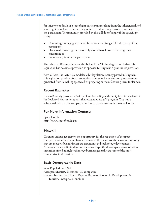for injury to or death of a spaceflight participant resulting from the inherent risks of spaceflight launch activities, so long as the federal warning is given to and signed by the participant. The immunity provided by this bill doesn't apply if the spaceflight entity:

- Commits gross negligence or willful or wanton disregard for the safety of the participant;
- Has actual knowledge or reasonably should have known of a dangerous condition; or
- Intentionally injures the participant.

The primary difference between this bill and the Virginia legislation is that this legislation has no sunset provision as opposed to Virginia's 5-year sunset provision.

Zero G Zero Tax Act: Also modeled after legislation recently passed in Virginia, this legislation provides for an exemption from state income tax on gross revenues generated from launching spacecraft or preparing or manufacturing them for launch.

# **Recent Examples**

Brevard County provided a \$24.8-million (over 10 years) county-level tax abatement for Lockheed Martin to support their expanded Atlas V program. This was a substantial factor in the company's decision to locate within the State of Florida.

# **For More Information Contact:**

Space Florida http://www.spaceflorida.gov

# **Hawaii**

Given its unique geography, the opportunity for the expansion of the space transportation industry in Hawaii is obvious. The aspects of the aerospace industry that are most visible in Hawaii are astronomy and technology development. Although there are limited incentives focused specifically on space transportation, incentives aimed at high technology business generally are some of the most competitive in the nation.

# **Basic Demographic Data**

State Population: 1.3M Aerospace Industry Presence: ~30 companies Responsible Entities: Hawaii Dept. of Business, Economic Development, & Tourism, Enterprise Honolulu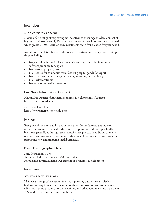# **Incentives**

#### *Standard Incentives*

Hawaii offers a range of very strong tax incentives to encourage the development of high-tech industry generally. Perhaps the strongest of these is its investment tax credit, which grants a 100% return on cash investments over a front-loaded five year period.

In addition, the state offers several core incentives to induce companies to set up shop including:

- No general excise tax for locally manufactured goods including computer software produced for export
- No personal property taxes
- No state tax for companies manufacturing capital goods for export
- No state taxes on furniture, equipment, inventory, or machinery
- No stock transfer tax
- No unincorporated business tax

# **For More Information Contact:**

Hawaii Department of Business, Economic Development, & Tourism http://hawaii.gov/dbedt

Enterprise Honolulu http://www.enterprisehonolulu.com

# **Maine**

Being one of the most rural states in the nation, Maine features a number of incentives that are not aimed at the space transportation industry specifically, but more generally at the high-tech manufacturing sector. In addition, the state offers an extensive range of grants and other direct funding mechanisms aimed at supporting new and emerging small businesses.

# **Basic Demographic Data**

State Population: 1.3M Aerospace Industry Presence: ~50 companies Responsible Entities: Maine Department of Economic Development

# **Incentives**

# *Standard Incentives*

Maine has a range of incentives aimed at supporting businesses classified as high technology businesses. The result of these incentives is that businesses can effectively pay no property tax on machinery and other equipment and have up to 75% of their state income taxes reimbursed.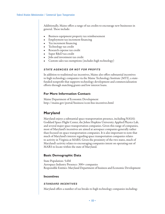Additionally, Maine offers a range of tax credits to encourage new businesses in general. These include:

- Business equipment property tax reimbursement
- Employment tax increment financing
- Tax increment financing
- Technology tax credit
- Research expense tax credit
- Super R&D tax credit
- Jobs and investment tax credit
- Custom sales tax exemptions (includes high technology)

#### *State Agencies or Not for Profits*

In addition to traditional tax incentives, Maine also offers substantial incentives to high technology companies via the Maine Technology Institute (MTI), a statefunded nonprofit that supports technology development and commercialization efforts through matching grants and low interest loans.

# **For More Information Contact:**

Maine Department of Economic Development http://maine.gov/portal/business/econ-bus-incentives.html

# **Maryland**

Maryland enjoys a substantial space transportation presence, including NASA's Goddard Space Flight Center, the Johns Hopkins University Applied Physics Lab, and several major space transportation companies. Given this range of companies, most of Maryland's incentives are aimed at aerospace companies generally rather than focused on space transportation companies. It is also important to note that much of Maryland's interest regarding space transportation companies relates to activity in Virginia at MARS. Given the proximity of the two states, much of Maryland's activity relates to encouraging companies intent on operating out of MARS to locate within the state of Maryland.

# **Basic Demographic Data**

State Population: 5.6M Aerospace Industry Presence: 300+ companies Responsible Entities: Maryland Department of business and Economic Development

#### **Incentives**

#### *Standard Incentives*

Maryland offers a number of tax breaks to high technology companies including: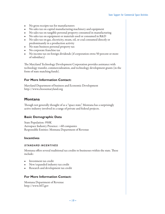#### State Support for Commercial Space Activities

- No gross receipts tax for manufacturers
- No sales tax on capital manufacturing machinery and equipment
- No sales tax on tangible personal property consumed in manufacturing
- No sales tax on equipment or materials used or consumed in R&D
- No sales tax on gas, electricity, steam, oil, or coal consumed directly or predominantly in a production activity
- No state business personal property tax
- No corporate franchise tax
- No income tax on foreign dividends (if corporation owns 50 percent or more of subsidiary)

The Maryland Technology Development Corporation provides assistance with technology transfer, commercialization, and technology development grants (in the form of state matching funds).

# **For More Information Contact:**

Maryland Department of business and Economic Development http://www.choosemaryland.org

# **Montana**

Though not generally thought of as a "space state," Montana has a surprisingly active industry involved in a range of private and federal projects.

# **Basic Demographic Data**

State Population: 950K Aerospace Industry Presence: ~60 companies Responsible Entities: Montana Department of Revenue

# **Incentives**

#### *Standard Incentives*

Montana offers several traditional tax credits to businesses within the state. These include:

- Investment tax credit
- New/expanded industry tax credit
- **Research and development tax credit**

# **For More Information Contact:**

Montana Department of Revenue http://www.MT.gov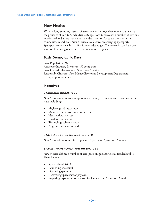# **New Mexico**

With its long-standing history of aerospace technology development, as well as the presence of White Sands Missile Range, New Mexico has a number of obvious location-related assets that make it an ideal location for space transportation companies. In addition, New Mexico also features an emerging spaceport, Spaceport America, which offers its own advantages. These two factors have been successful in luring operators to the state in recent years.

# **Basic Demographic Data**

State Population: 2M Aerospace Industry Presence: ~50 companies State Owned Infrastructure: Spaceport America Responsible Entities: New Mexico Economic Development Department, Spaceport America

# **Incentives**

#### *Standard Incentives*

New Mexico offers a wide range of tax advantages to any business locating in the state including:

- High wage jobs tax credit
- Manufacturer's investment tax credit
- New markets tax credit
- Rural jobs tax credit
- Technology jobs tax credit
- Angel investment tax credit

#### *State Agencies or Nonprofits*

New Mexico Economic Development Department, Spaceport America

#### *Space Transportation Incentives*

New Mexico defines a number of aerospace-unique activities as tax deductible. These include:

- Space related R&D
- Launching spacecraft
- Operating spacecraft
- Recovering spacecraft or payloads
- Preparing a spacecraft or payload for launch from Spaceport America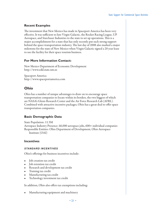# **Recent Examples**

The investment that New Mexico has made in Spaceport America has been very effective. It was sufficient to lure Virgin Galactic, the Rocket Racing League, UP Aerospace, and Starchaser Industries to the state to set up operations. This is a major accomplishment for a state that has only recently put such strong support behind the space transportation industry. The last day of 2008 also marked a major milestone for the state of New Mexico when Virgin Galactic signed a 20 year lease to use the facility for their space tourism business.

# **For More Information Contact:**

New Mexico Department of Economic Development http://www.edd.state.nm.us

Spaceport America http://www.spaceportamerica.com

# **Ohio**

Ohio has a number of unique advantages to draw on to encourage space transportation companies to locate within its borders, the two biggest of which are NASA's Glenn Research Center and the Air Force Research Lab (AFRL). Combined with attractive incentive packages, Ohio has a great deal to offer space transportation companies.

# **Basic Demographic Data**

State Population: 11.5M Aerospace Industry Presence: 66,000 aerospace jobs, 600+ individual companies Responsible Entities: Ohio Department of Development, Ohio Aerospace Institute (OAI)

# **Incentives**

# *Standard Incentives*

Ohio's offerings for business incentives include:

- Job creation tax credit
- Job retention tax credit
- Research and development tax credit
- Training tax credit
- Manufacturing tax credit
- Technology investment tax credit

In addition, Ohio also offers tax exemptions including:

Manufacturing equipment and machinery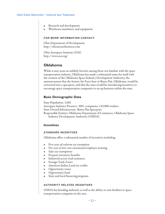- Research and development
- Warehouse machinery and equipment

#### *For More Information Contact:*

Ohio Department of Development http://ohiomeansbusiness.com

Ohio Aerospace Institute (OAI) http://www.oai.org/

# **Oklahoma**

While it may seem an unlikely favorite among those not familiar with the space transportation industry, Oklahoma has made a substantial name for itself with the creation of the Oklahoma Space Industry Development Authority, the announcement that the former Air Force base in Burns Flat, Oklahoma, would be converted into a spaceport, and that the state would be introducing incentives to encourage space transportation companies to set up business within the state.

# **Basic Demographic Data**

State Population: 3.6M

Aerospace Industry Presence: 300+ companies, 143,000 workers State Owned Infrastructure: Burns Flat Spaceport Responsible Entities: Oklahoma Department of Commerce, Oklahoma Space Industry Development Authority (OSIDA)

# **Incentives**

#### *Standard Incentives*

Oklahoma offers a substantial number of incentives including:

- Five-year *ad valorem* tax exemption
- No-cost or low-cost customized employee training
- Sales tax exemptions
- Freeport inventory benefits
- Industrial access road assistance
- • Foreign Trade Zones
- American Indian Land tax credits
- Opportunity zones
- Opportunity fund
- State and local financing programs

#### *Authority related Incentives*

OSIDA has bonding authority as well as the ability to rent facilities to space transportation companies in the area.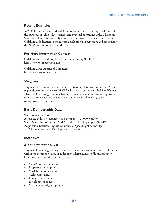# **Recent Examples**

In 2004 Oklahoma awarded a \$10-million tax credit to Rocketplane Limited for the purposes of vehicle development and eventual operations at the Oklahoma Spaceport. While this was only a one-time incentive, it does serve as an example of Oklahoma's dedication to the further development of aerospace and particularly the NewSpace industry within the state.

# **For More Information Contact:**

Oklahoma Space Industry Development Authority (OSIDA) http://www.okspaceport.ok.us

Oklahoma Department of Commerce http://www.okcommerce.gov

# **Virginia**

Virginia is in a unique position compared to other states within the mid-Atlantic region due to the presence of MARS, which is co-located with NASA's Wallops Island facility. Though the state has only a small to medium space transportation industry presence, it has recently been quite successful in luring space transportation companies.

# **Basic Demographic Data**

State Population: 7.6M Aerospace Industry Presence: 350+ companies, 27,000 workers State Owned Infrastructure: Mid Atlantic Regional Spaceport (MARS) Responsible Entities: Virginia Commercial Space Flight Authority, Virginia Economic Development Partnership

# **Incentives**

# *Standard Incentives*

Virginia offers a range of financial incentives to companies moving to or locating within the commonwealth. In addition to a large number of local and other location-based incentives, Virginia offers:

- Sales  $&$  use tax exemptions
- Property tax exemptions
- **Small business financing**
- Technology zones
- Foreign trade zones
- Development zones
- State-supported grant program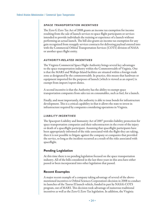#### *Space Transportation Incentives*

The Zero G Zero Tax Act of 2008 grants an income tax exemption for income resulting from the sale of launch services to space flight participants or services intended to provide individuals the training or experience of a launch without performing an actual launch. The bill also grants an income tax exemption for any gain recognized from resupply services contracts for delivering payload entered into with the Commercial Orbital Transportation Services (COTS) division of NASA or another space flight entity.

#### *Authority-Related Incentives*

The Virginia Commercial Space Flight Authority brings several key advantages to the space transportation industry within the Commonwealth of Virginia. One is that the MARS and Wallops Island facilities are situated within a foreign trade zone as designated by the commonwealth. In practice, this means that hardware or equipment imported for the purposes of launch (which is viewed as an export) is exempt from import/export duties.

A second incentive is that the Authority has the ability to exempt space transportation companies from sales tax on consumables, such as fuel, for a launch.

Finally, and most importantly, the authority is able to issue bonds for infrastructure development. This is a critical capability in that it allows the state to invest in infrastructure required by companies considering operations in Virginia.

#### *Liability Incentives*

The Spaceport Liability and Immunity Act of 2007 provides liability protection for space transportation companies and their subcontractors in the event of the injury or death of a spaceflight participant. Assuming that spaceflight participants have been appropriately informed of the risks associated with the flight they are taking, then it is not possible to litigate against the company or companies that provided the service, so long as the incident occurred as a result of the risks associated with spaceflight.

#### **Pending Legislation**

At this time there is no pending legislation focused on the space transportation industry. All of the bills considered in the last three years in this area have either passed or been incorporated into other legislation that passed.

#### **Recent Examples**

A major recent example of a company taking advantage of several of the abovementioned incentives is Orbital Sciences Corporation's decision in 2008 to conduct its launches of the Taurus II launch vehicle, funded in part by NASA's COTS program, out of MARS. This decision took advantage of numerous traditional incentives as well as the Zero G Zero Tax legislation. In addition, the Virginia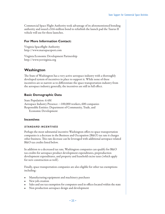Commercial Space Flight Authority took advantage of its aforementioned bonding authority and issued a \$16-million bond to refurbish the launch pad the Taurus II vehicle will use for these launches.

# **For More Information Contact:**

Virginia Spaceflight Authority http://www.marsspaceport.com

Virginia Economic Development Partnership http://www.yesvirginia.org

# **Washington**

The State of Washington has a very active aerospace industry with a thoroughly developed system of incentives in place to support it. While none of these incentives are so narrow as to differentiate the space transportation industry from the aerospace industry generally, the incentives are still in full effect.

# **Basic Demographic Data**

State Population: 6.4M Aerospace Industry Presence: ~100,000 workers, 600 companies Responsible Entities: Department of Community, Trade, and Economic Development

# **Incentives**

#### *Standard Incentives*

Perhaps the most substantial incentive Washington offers to space transportation companies is a decrease in the Business and Occupation (B&O) tax rate it charges other business. This rate decrease can be leveraged with additional aerospace-related B&O tax credits listed below.

In addition to a decreased tax rate, Washington companies can qualify for B&O tax credits for aerospace product development expenditures, preproduction development expenditures, and property and leasehold excise taxes (which apply for new construction as well).

Finally, space transportation companies are also eligible for other tax exemptions including:

- Manufacturing equipment and machinery purchases
- New job creation
- Sales and use tax exemption for computers used in offices located within the state
- Non production aerospace design and development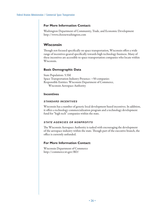# **For More Information Contact:**

Washington Department of Community, Trade, and Economic Development http://www.choosewashington.com

# **Wisconsin**

Though not focused specifically on space transportation, Wisconsin offers a wide range of incentives geared specifically towards high technology business. Many of these incentives are accessible to space transportation companies who locate within Wisconsin.

# **Basic Demographic Data**

State Population: 5.5M Space Transportation Industry Presence: ~50 companies Responsible Entities: Wisconsin Department of Commerce, Wisconsin Aerospace Authority

# **Incentives**

# *Standard Incentives*

Wisconsin has a number of generic local development based incentives. In addition, it offers a technology commercialization program and a technology development fund for "high tech" companies within the state.

# *State Agencies or Nonprofits*

The Wisconsin Aerospace Authority is tasked with encouraging the development of the aerospace industry within the state. Though part of the executive branch, the office is currently unfunded.

# **For More Information Contact:**

Wisconsin Department of Commerce http://commerce.wi.gov/BD/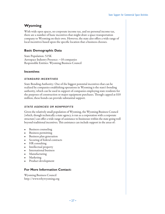# **Wyoming**

With wide open spaces, no corporate income tax, and no personal income tax, there are a number of basic incentives that might draw a space transportation company to Wyoming on their own. However, the state also offers a wide range of local incentives based upon the specific location that a business chooses.

# **Basic Demographic Data**

State Population: 515K Aerospace Industry Presence: ~10 companies Responsible Entities: Wyoming Business Council

# **Incentives**

# *Standard Incentives*

State Bonding Authority: One of the biggest potential incentives that can be realized by companies establishing operations in Wyoming is the state's bonding authority, which can be used in support of companies employing state residents for the purposes of construction or major equipment purchases. Though capped at \$10 million, these bonds can provide substantial support.

# *State Agencies or Nonprofits*

Given the relatively small population of Wyoming, the Wyoming Business Council (which, though technically a state agency, is run as a corporation with a corporate structure) can offer a wide range of assistance to businesses within the state going well beyond traditional incentives. This assistance can include support in the areas of:

- Business counseling
- • Business permitting
- • Business plan generation
- Securing of federal contracts
- HR consulting
- Intellectual property
- International business
- **Manufacturing**
- **Marketing**
- Product development

# **For More Information Contact:**

Wyoming Business Council http://www.whywyoming.org